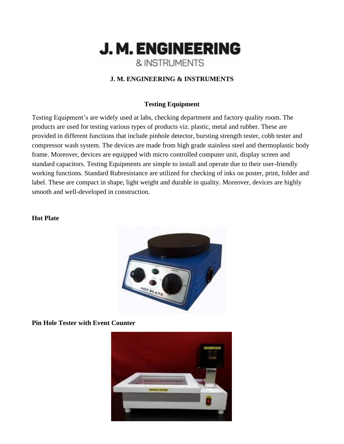

#### **J. M. ENGINEERING & INSTRUMENTS**

#### **Testing Equipment**

Testing Equipment's are widely used at labs, checking department and factory quality room. The products are used for testing various types of products viz. plastic, metal and rubber. These are provided in different functions that include pinhole detector, bursting strength tester, cobb tester and compressor wash system. The devices are made from high grade stainless steel and thermoplastic body frame. Moreover, devices are equipped with micro controlled computer unit, display screen and standard capacitors. Testing Equipments are simple to install and operate due to their user-friendly working functions. Standard Rubresistance are utilized for checking of inks on poster, print, folder and label. These are compact in shape, light weight and durable in quality. Moreover, devices are highly smooth and well-developed in construction.

#### **Hot Plate**



**Pin Hole Tester with Event Counter**

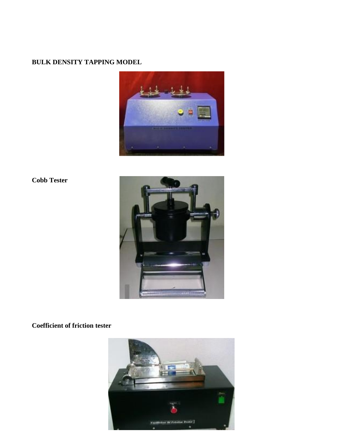### **BULK DENSITY TAPPING MODEL**



### **Cobb Tester**



### **Coefficient of friction tester**

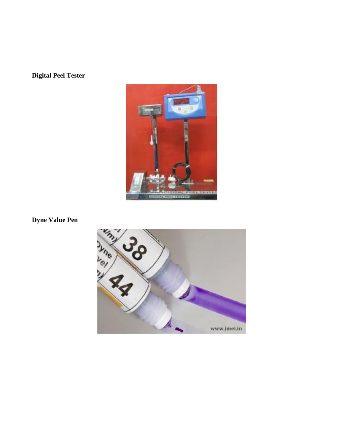**Digital Peel Tester**



**Dyne Value Pen**

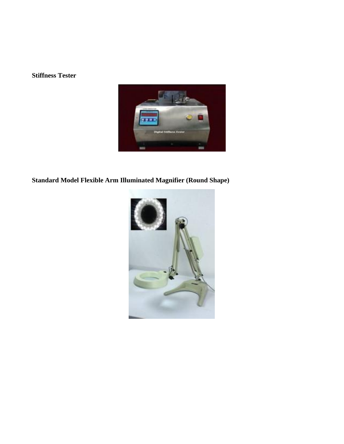### **Stiffness Tester**



## **Standard Model Flexible Arm Illuminated Magnifier (Round Shape)**

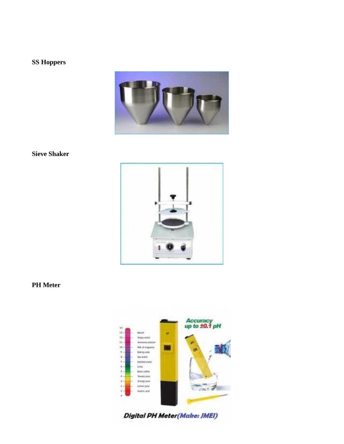### **SS Hoppers**

![](_page_4_Picture_1.jpeg)

#### **Sieve Shaker**

![](_page_4_Picture_3.jpeg)

#### **PH** Meter

![](_page_4_Picture_5.jpeg)

Digital PH Meter(Make: JMEI)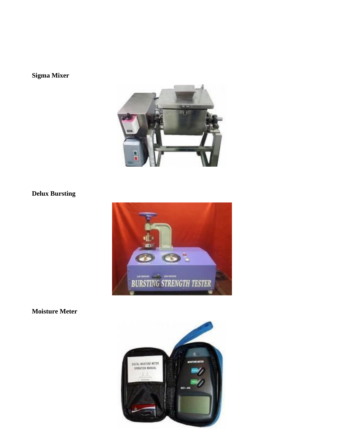## Sigma Mixer

![](_page_5_Picture_1.jpeg)

## **Delux Bursting**

![](_page_5_Picture_3.jpeg)

**Moisture Meter** 

![](_page_5_Picture_5.jpeg)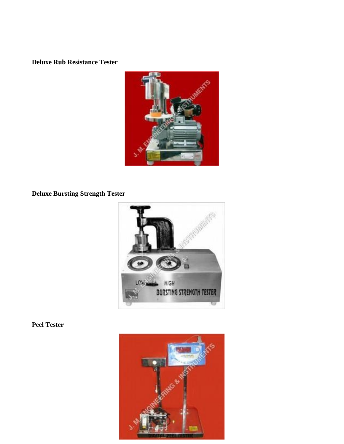**Deluxe Rub Resistance Tester**

![](_page_6_Picture_1.jpeg)

**Deluxe Bursting Strength Tester**

![](_page_6_Picture_3.jpeg)

### **Peel Tester**

![](_page_6_Picture_5.jpeg)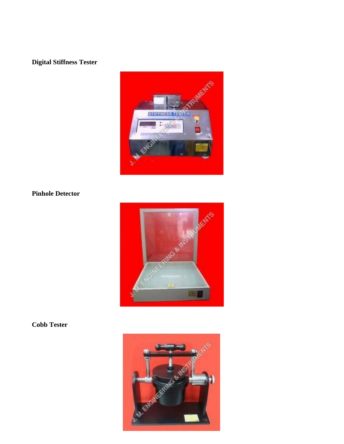## **Digital Stiffness Tester**

![](_page_7_Picture_1.jpeg)

## **Pinhole Detector**

![](_page_7_Picture_3.jpeg)

## **Cobb Tester**

![](_page_7_Picture_5.jpeg)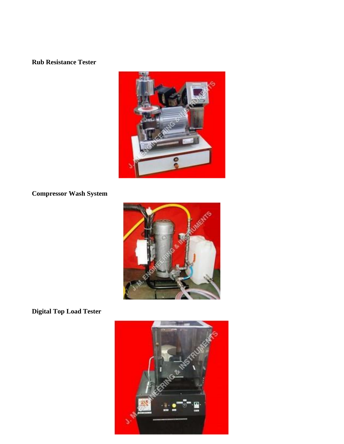### **Rub Resistance Tester**

![](_page_8_Picture_1.jpeg)

## **Compressor Wash System**

![](_page_8_Picture_3.jpeg)

**Digital Top Load Tester**

![](_page_8_Picture_5.jpeg)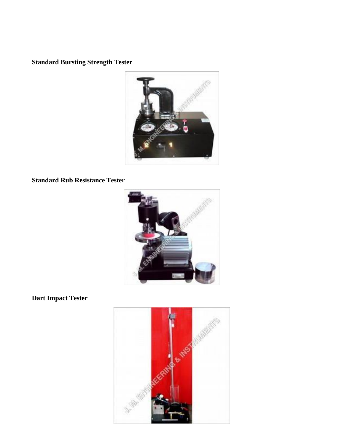**Standard Bursting Strength Tester**

![](_page_9_Picture_1.jpeg)

### **Standard Rub Resistance Tester**

![](_page_9_Picture_3.jpeg)

**Dart Impact Tester**

![](_page_9_Picture_5.jpeg)